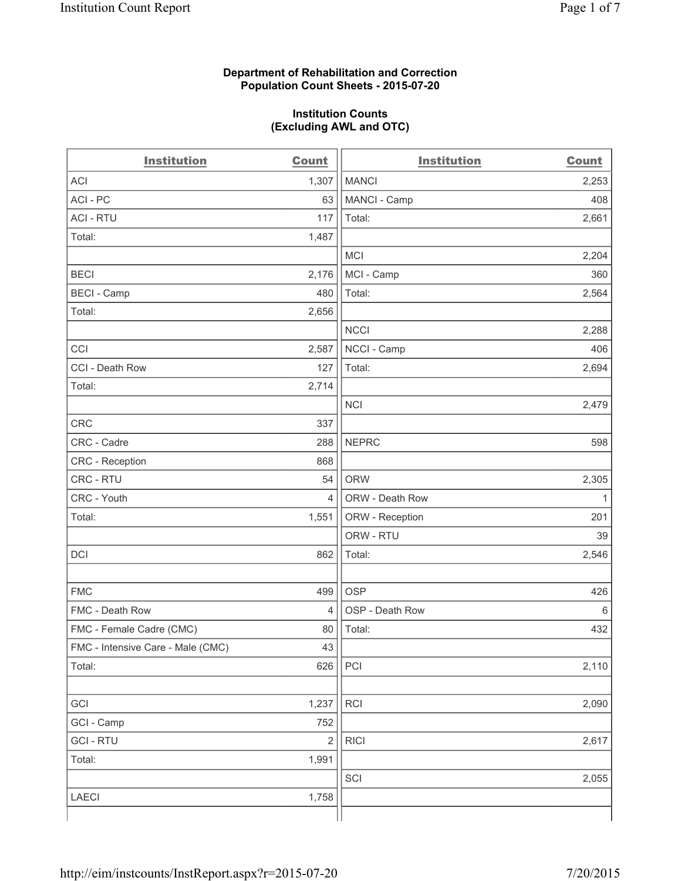## **Department of Rehabilitation and Correction Population Count Sheets - 2015-07-20**

### **Institution Counts (Excluding AWL and OTC)**

| <b>Institution</b>                | <b>Count</b>            | <b>Institution</b> | <b>Count</b> |
|-----------------------------------|-------------------------|--------------------|--------------|
| <b>ACI</b>                        | 1,307                   | <b>MANCI</b>       | 2,253        |
| ACI-PC                            | 63                      | MANCI - Camp       | 408          |
| <b>ACI - RTU</b>                  | 117                     | Total:             | 2,661        |
| Total:                            | 1,487                   |                    |              |
|                                   |                         | <b>MCI</b>         | 2,204        |
| <b>BECI</b>                       | 2,176                   | MCI - Camp         | 360          |
| <b>BECI</b> - Camp                | 480                     | Total:             | 2,564        |
| Total:                            | 2,656                   |                    |              |
|                                   |                         | <b>NCCI</b>        | 2,288        |
| CCI                               | 2,587                   | NCCI - Camp        | 406          |
| CCI - Death Row                   | 127                     | Total:             | 2,694        |
| Total:                            | 2,714                   |                    |              |
|                                   |                         | <b>NCI</b>         | 2,479        |
| <b>CRC</b>                        | 337                     |                    |              |
| CRC - Cadre                       | 288                     | <b>NEPRC</b>       | 598          |
| CRC - Reception                   | 868                     |                    |              |
| CRC - RTU                         | 54                      | <b>ORW</b>         | 2,305        |
| CRC - Youth                       | 4                       | ORW - Death Row    | 1            |
| Total:                            | 1,551                   | ORW - Reception    | 201          |
|                                   |                         | ORW - RTU          | 39           |
| DCI                               | 862                     | Total:             | 2,546        |
|                                   |                         |                    |              |
| <b>FMC</b>                        | 499                     | <b>OSP</b>         | 426          |
| FMC - Death Row                   | $\overline{4}$          | OSP - Death Row    | 6            |
| FMC - Female Cadre (CMC)          | 80                      | Total:             | 432          |
| FMC - Intensive Care - Male (CMC) | 43                      |                    |              |
| Total:                            | 626                     | PCI                | 2,110        |
|                                   |                         |                    |              |
| GCI                               | 1,237                   | <b>RCI</b>         | 2,090        |
| GCI - Camp                        | 752                     |                    |              |
| <b>GCI-RTU</b>                    | $\overline{\mathbf{c}}$ | <b>RICI</b>        | 2,617        |
| Total:                            | 1,991                   |                    |              |
|                                   |                         | SCI                | 2,055        |
| <b>LAECI</b>                      | 1,758                   |                    |              |
|                                   |                         |                    |              |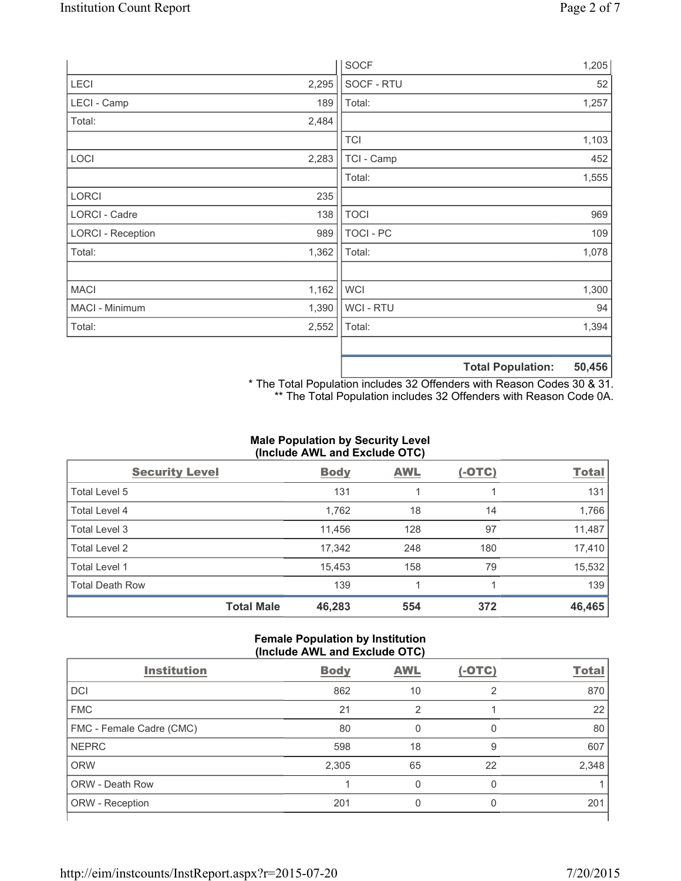|                          |       | <b>SOCF</b>      | 1,205                                           |
|--------------------------|-------|------------------|-------------------------------------------------|
| LECI                     | 2,295 | SOCF - RTU       | 52                                              |
| LECI - Camp              | 189   | Total:           | 1,257                                           |
| Total:                   | 2,484 |                  |                                                 |
|                          |       | <b>TCI</b>       | 1,103                                           |
| LOCI                     | 2,283 | TCI - Camp       | 452                                             |
|                          |       | Total:           | 1,555                                           |
| <b>LORCI</b>             | 235   |                  |                                                 |
| LORCI - Cadre            | 138   | <b>TOCI</b>      | 969                                             |
| <b>LORCI - Reception</b> | 989   | <b>TOCI - PC</b> | 109                                             |
| Total:                   | 1,362 | Total:           | 1,078                                           |
|                          |       |                  |                                                 |
| <b>MACI</b>              | 1,162 | <b>WCI</b>       | 1,300                                           |
| MACI - Minimum           | 1,390 | WCI - RTU        | 94                                              |
| Total:                   | 2,552 | Total:           | 1,394                                           |
|                          |       |                  |                                                 |
|                          |       |                  | $F^{\wedge}$ $F^{\wedge}$<br>アスキュレ ロス ふうけんどうしょう |

**Total Population: 50,456**

\* The Total Population includes 32 Offenders with Reason Codes 30 & 31. \*\* The Total Population includes 32 Offenders with Reason Code 0A.

## **Male Population by Security Level (Include AWL and Exclude OTC)**

| <b>Security Level</b>  |                   | <b>Body</b> | <b>AWL</b> | $(-OTC)$ | <b>Total</b> |
|------------------------|-------------------|-------------|------------|----------|--------------|
| Total Level 5          |                   | 131         |            |          | 131          |
| <b>Total Level 4</b>   |                   | 1,762       | 18         | 14       | 1,766        |
| Total Level 3          |                   | 11,456      | 128        | 97       | 11,487       |
| Total Level 2          |                   | 17,342      | 248        | 180      | 17,410       |
| <b>Total Level 1</b>   |                   | 15,453      | 158        | 79       | 15,532       |
| <b>Total Death Row</b> |                   | 139         | 1          | 1        | 139          |
|                        | <b>Total Male</b> | 46,283      | 554        | 372      | 46,465       |

### **Female Population by Institution (Include AWL and Exclude OTC)**

| <b>Institution</b>       | <b>Body</b> | <b>AWL</b> | (-OTC) | <b>Total</b> |
|--------------------------|-------------|------------|--------|--------------|
| DCI                      | 862         | 10         | 2      | 870          |
| <b>FMC</b>               | 21          | 2          |        | 22           |
| FMC - Female Cadre (CMC) | 80          | O          | 0      | 80           |
| <b>NEPRC</b>             | 598         | 18         | 9      | 607          |
| <b>ORW</b>               | 2,305       | 65         | 22     | 2,348        |
| <b>ORW - Death Row</b>   |             | 0          | 0      |              |
| ORW - Reception          | 201         |            | 0      | 201          |
|                          |             |            |        |              |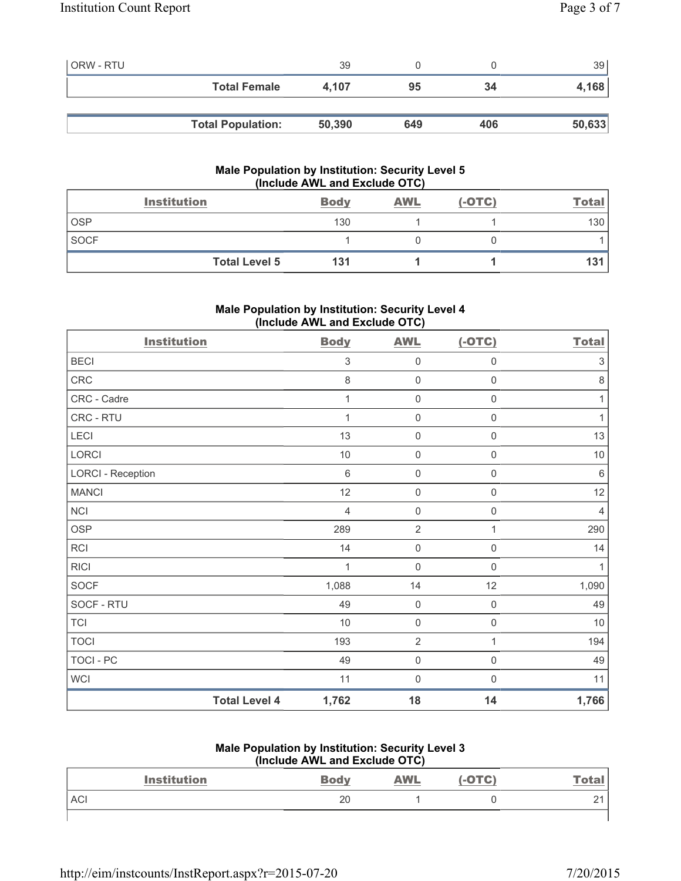| <b>ORW - RTU</b> |                          | 39     |     |     | 39     |
|------------------|--------------------------|--------|-----|-----|--------|
|                  | <b>Total Female</b>      | 4.107  | 95  | 34  | 4,168  |
|                  |                          |        |     |     |        |
|                  | <b>Total Population:</b> | 50,390 | 649 | 406 | 50,633 |

# **Male Population by Institution: Security Level 5 (Include AWL and Exclude OTC)**

|            | <b>Institution</b>   | <b>Body</b> | <b>AWL</b> | $(-OTC)$ | <b>Total</b> |
|------------|----------------------|-------------|------------|----------|--------------|
| <b>OSP</b> |                      | 130         |            |          | 130          |
| SOCF       |                      |             |            |          |              |
|            | <b>Total Level 5</b> | 131         |            |          | 131          |

# **Male Population by Institution: Security Level 4 (Include AWL and Exclude OTC)**

| <b>Institution</b>       |                      | <b>Body</b>               | <b>AWL</b>          | $(-OTC)$            | <b>Total</b>   |
|--------------------------|----------------------|---------------------------|---------------------|---------------------|----------------|
| <b>BECI</b>              |                      | $\ensuremath{\mathsf{3}}$ | $\mathsf{O}\xspace$ | $\mathsf{O}\xspace$ | 3              |
| CRC                      |                      | 8                         | $\mathsf{O}\xspace$ | $\mathsf{O}\xspace$ | $\,8\,$        |
| CRC - Cadre              |                      | 1                         | $\mathsf{O}\xspace$ | $\mathsf{O}\xspace$ | 1              |
| CRC - RTU                |                      | 1                         | $\mathsf{O}\xspace$ | $\boldsymbol{0}$    | 1              |
| LECI                     |                      | 13                        | $\mathsf{O}\xspace$ | $\mathsf{O}\xspace$ | 13             |
| LORCI                    |                      | $10$                      | $\mathsf{O}\xspace$ | $\boldsymbol{0}$    | $10$           |
| <b>LORCI - Reception</b> |                      | $6\phantom{1}6$           | $\mathsf{O}\xspace$ | $\mathsf{O}\xspace$ | $\,6\,$        |
| <b>MANCI</b>             |                      | 12                        | $\mathsf{O}\xspace$ | $\mathsf{O}\xspace$ | 12             |
| <b>NCI</b>               |                      | $\overline{4}$            | $\mathsf{O}\xspace$ | $\mathsf{O}\xspace$ | $\overline{4}$ |
| <b>OSP</b>               |                      | 289                       | $\overline{2}$      | 1                   | 290            |
| RCI                      |                      | 14                        | $\mathsf{O}\xspace$ | $\mathsf{O}\xspace$ | 14             |
| <b>RICI</b>              |                      | 1                         | $\mathsf{O}\xspace$ | $\boldsymbol{0}$    | $\mathbf{1}$   |
| <b>SOCF</b>              |                      | 1,088                     | 14                  | 12                  | 1,090          |
| SOCF - RTU               |                      | 49                        | $\mathsf{O}\xspace$ | $\mathsf 0$         | 49             |
| <b>TCI</b>               |                      | $10$                      | $\mathsf{O}\xspace$ | $\mathsf{O}\xspace$ | $10$           |
| <b>TOCI</b>              |                      | 193                       | $\sqrt{2}$          | 1                   | 194            |
| <b>TOCI - PC</b>         |                      | 49                        | $\mathsf{O}\xspace$ | $\mathsf{O}\xspace$ | 49             |
| <b>WCI</b>               |                      | 11                        | $\mathbf 0$         | $\mathbf 0$         | 11             |
|                          | <b>Total Level 4</b> | 1,762                     | 18                  | 14                  | 1,766          |

#### **Male Population by Institution: Security Level 3 (Include AWL and Exclude OTC)**

|            | $\frac{1}{2}$      |             |            |        |       |  |
|------------|--------------------|-------------|------------|--------|-------|--|
|            | <b>Institution</b> | <b>Body</b> | <b>AWL</b> | (-OTC) | Total |  |
| <b>ACI</b> |                    | 20          |            |        |       |  |
|            |                    |             |            |        |       |  |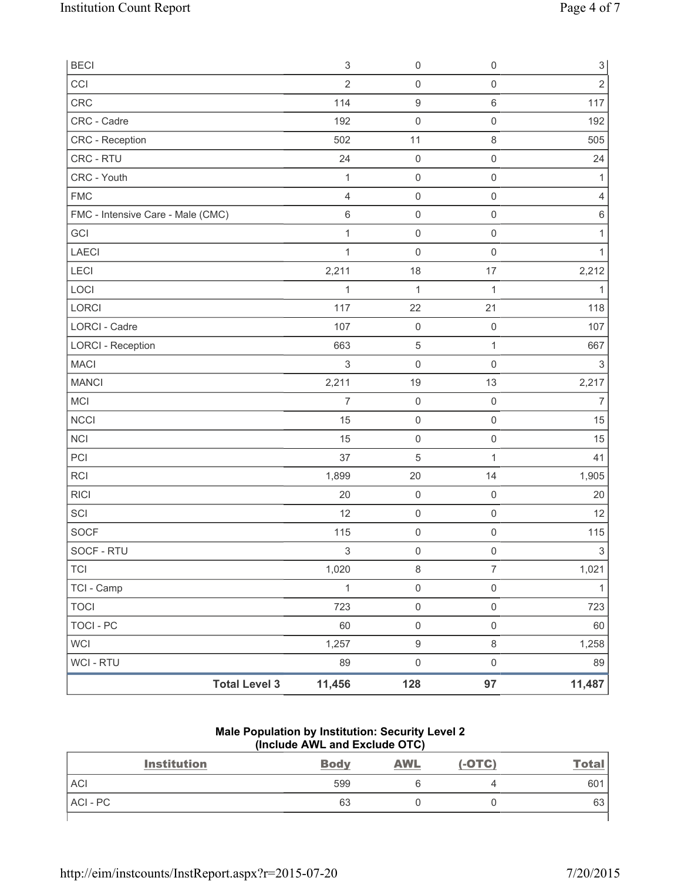| <b>BECI</b>                       | $\ensuremath{\mathsf{3}}$ | $\mathsf{O}\xspace$ | $\mathsf{O}\xspace$ | $\sqrt{3}$     |
|-----------------------------------|---------------------------|---------------------|---------------------|----------------|
| CCI                               | $\overline{2}$            | $\mathsf 0$         | $\mathsf{O}\xspace$ | $\overline{2}$ |
| CRC                               | 114                       | $\boldsymbol{9}$    | 6                   | 117            |
| CRC - Cadre                       | 192                       | $\mathsf{O}\xspace$ | $\mathsf{O}\xspace$ | 192            |
| CRC - Reception                   | 502                       | 11                  | 8                   | 505            |
| CRC - RTU                         | 24                        | $\mathsf{O}\xspace$ | $\mathsf{O}\xspace$ | 24             |
| CRC - Youth                       | $\mathbf{1}$              | $\mathsf 0$         | $\mathsf{O}\xspace$ | $\mathbf{1}$   |
| <b>FMC</b>                        | $\overline{4}$            | $\mathsf 0$         | $\mathsf 0$         | $\overline{4}$ |
| FMC - Intensive Care - Male (CMC) | $\,6\,$                   | $\mathsf{O}\xspace$ | $\mathsf{O}\xspace$ | $\,6\,$        |
| GCI                               | 1                         | $\mathsf 0$         | $\mathsf{O}\xspace$ | 1              |
| LAECI                             | 1                         | $\mathbf 0$         | $\mathsf 0$         | $\mathbf{1}$   |
| LECI                              | 2,211                     | 18                  | 17                  | 2,212          |
| LOCI                              | 1                         | $\mathbf{1}$        | $\mathbf{1}$        | $\mathbf{1}$   |
| LORCI                             | 117                       | 22                  | 21                  | 118            |
| <b>LORCI - Cadre</b>              | 107                       | $\mathsf{O}\xspace$ | $\mathsf 0$         | 107            |
| <b>LORCI - Reception</b>          | 663                       | $\sqrt{5}$          | 1                   | 667            |
| <b>MACI</b>                       | $\mathsf 3$               | $\mathsf 0$         | $\mathsf{O}\xspace$ | $\sqrt{3}$     |
| <b>MANCI</b>                      | 2,211                     | 19                  | 13                  | 2,217          |
| MCI                               | $\overline{7}$            | $\mathsf{O}\xspace$ | $\mathsf 0$         | $\overline{7}$ |
| <b>NCCI</b>                       | 15                        | $\mathsf 0$         | $\mathsf{O}\xspace$ | 15             |
| <b>NCI</b>                        | 15                        | $\mathsf{O}\xspace$ | $\mathsf{O}\xspace$ | 15             |
| PCI                               | 37                        | $\mathbf 5$         | $\mathbf{1}$        | 41             |
| RCI                               | 1,899                     | 20                  | 14                  | 1,905          |
| <b>RICI</b>                       | 20                        | $\mathsf{O}\xspace$ | $\mathsf{O}\xspace$ | 20             |
| SCI                               | 12                        | $\mathsf{O}\xspace$ | $\mathsf{O}\xspace$ | 12             |
| <b>SOCF</b>                       | 115                       | $\mathsf{O}\xspace$ | $\mathsf{O}\xspace$ | 115            |
| SOCF - RTU                        | $\mathsf 3$               | $\mathsf{O}\xspace$ | $\mathsf{O}\xspace$ | $\sqrt{3}$     |
| <b>TCI</b>                        | 1,020                     | $\,8\,$             | $\overline{7}$      | 1,021          |
| TCI - Camp                        | $\mathbf{1}$              | $\mathsf{O}\xspace$ | $\mathsf{O}\xspace$ | $\mathbf{1}$   |
| <b>TOCI</b>                       | 723                       | $\mathsf{O}\xspace$ | $\mathsf{O}\xspace$ | 723            |
| <b>TOCI - PC</b>                  | 60                        | $\mathsf 0$         | $\mathsf{O}\xspace$ | 60             |
| <b>WCI</b>                        | 1,257                     | $\boldsymbol{9}$    | 8                   | 1,258          |
| <b>WCI - RTU</b>                  | 89                        | $\mathsf{O}\xspace$ | $\mathsf{O}\xspace$ | 89             |
| <b>Total Level 3</b>              | 11,456                    | 128                 | 97                  | 11,487         |

**Male Population by Institution: Security Level 2 (Include AWL and Exclude OTC)** 

| <b>Institution</b> | <b>Body</b> | <b>AWL</b> | $(-OTC)$ | <u>Total</u> |
|--------------------|-------------|------------|----------|--------------|
| <b>ACI</b>         | 599         |            |          | 601          |
| ACI-PC             | 63          |            |          | 63           |
|                    |             |            |          |              |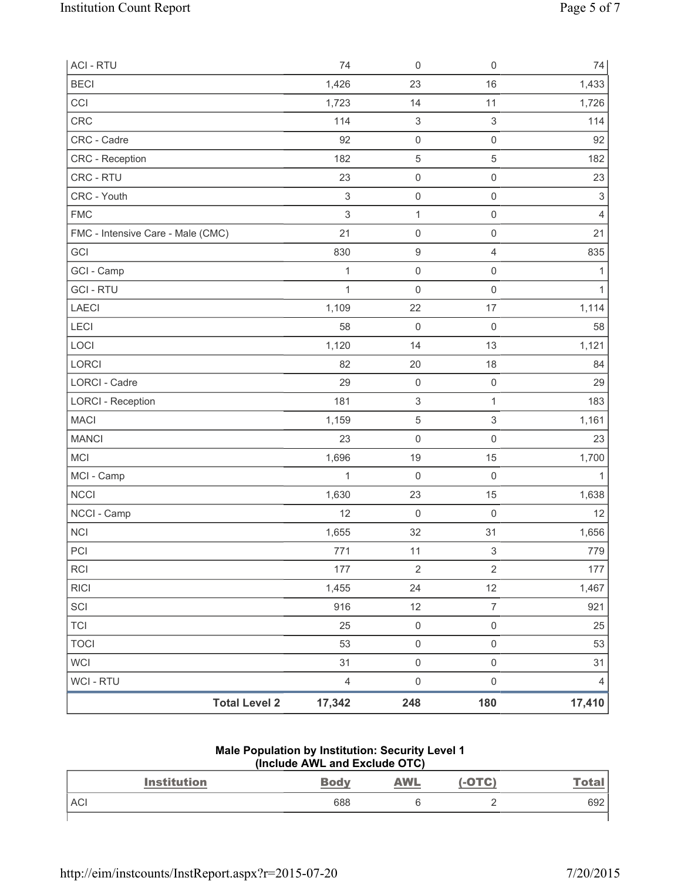| <b>Total Level 2</b>              | 17,342         | 248                       | 180                       | 17,410       |
|-----------------------------------|----------------|---------------------------|---------------------------|--------------|
| WCI - RTU                         | $\overline{4}$ | $\mathsf{O}\xspace$       | $\mathsf 0$               | 4            |
| <b>WCI</b>                        | 31             | $\mathsf 0$               | $\mathsf{O}\xspace$       | 31           |
| <b>TOCI</b>                       | 53             | $\mathsf{O}\xspace$       | $\mathsf{O}\xspace$       | 53           |
| <b>TCI</b>                        | 25             | $\mathsf{O}\xspace$       | $\mathsf{O}\xspace$       | 25           |
| SCI                               | 916            | 12                        | $\overline{\mathcal{I}}$  | 921          |
| <b>RICI</b>                       | 1,455          | 24                        | 12                        | 1,467        |
| RCI                               | 177            | $\mathbf 2$               | $\sqrt{2}$                | 177          |
| PCI                               | 771            | 11                        | $\mathsf 3$               | 779          |
| <b>NCI</b>                        | 1,655          | 32                        | 31                        | 1,656        |
| NCCI - Camp                       | 12             | $\mathsf{O}\xspace$       | $\mathsf 0$               | 12           |
| <b>NCCI</b>                       | 1,630          | 23                        | 15                        | 1,638        |
| MCI - Camp                        | $\mathbf{1}$   | 0                         | $\mathsf{O}\xspace$       | 1            |
| <b>MCI</b>                        | 1,696          | 19                        | 15                        | 1,700        |
| <b>MANCI</b>                      | 23             | 0                         | $\mathsf 0$               | 23           |
| <b>MACI</b>                       | 1,159          | $\sqrt{5}$                | $\mathsf 3$               | 1,161        |
| <b>LORCI - Reception</b>          | 181            | $\ensuremath{\mathsf{3}}$ | $\mathbf{1}$              | 183          |
| <b>LORCI - Cadre</b>              | 29             | $\mathsf{O}\xspace$       | $\mathsf 0$               | 29           |
| LORCI                             | 82             | 20                        | 18                        | 84           |
| LOCI                              | 1,120          | 14                        | 13                        | 1,121        |
| LECI                              | 58             | $\mathsf{O}\xspace$       | $\mathsf{O}\xspace$       | 58           |
| <b>LAECI</b>                      | 1,109          | 22                        | 17                        | 1,114        |
| <b>GCI-RTU</b>                    | $\mathbf{1}$   | $\mathsf{O}\xspace$       | $\mathsf 0$               | $\mathbf{1}$ |
| GCI - Camp                        | $\mathbf 1$    | $\mathsf{O}\xspace$       | $\mathsf 0$               | $\mathbf{1}$ |
| GCI                               | 830            | $\boldsymbol{9}$          | $\overline{4}$            | 835          |
| FMC - Intensive Care - Male (CMC) | 21             | $\mathsf 0$               | $\mathsf 0$               | 21           |
| <b>FMC</b>                        | $\,$ 3 $\,$    | $\mathbf{1}$              | $\mathsf 0$               | 4            |
| CRC - Youth                       | $\mathsf 3$    | $\mathsf 0$               | $\mathsf 0$               | $\sqrt{3}$   |
| CRC - RTU                         | 23             | $\mathsf{O}\xspace$       | $\mathsf 0$               | 23           |
| CRC - Reception                   | 182            | $\sqrt{5}$                | 5                         | 182          |
| CRC - Cadre                       | 92             | $\mathsf 0$               | $\mathsf 0$               | 92           |
| <b>CRC</b>                        | 114            | $\ensuremath{\mathsf{3}}$ | $\ensuremath{\mathsf{3}}$ | 114          |
| CCI                               | 1,723          | 14                        | 11                        | 1,726        |
| <b>BECI</b>                       | 1,426          | 23                        | 16                        | 1,433        |
| <b>ACI - RTU</b>                  | 74             | 0                         | $\mathsf 0$               | 74           |

#### **Male Population by Institution: Security Level 1 (Include AWL and Exclude OTC)**

| <b>Institution</b> | <b>Body</b> | <b>AWL</b> | <b>(-OTC)</b> | <u>Total</u> |
|--------------------|-------------|------------|---------------|--------------|
| <b>ACI</b>         | 688         |            |               | 692          |
|                    |             |            |               |              |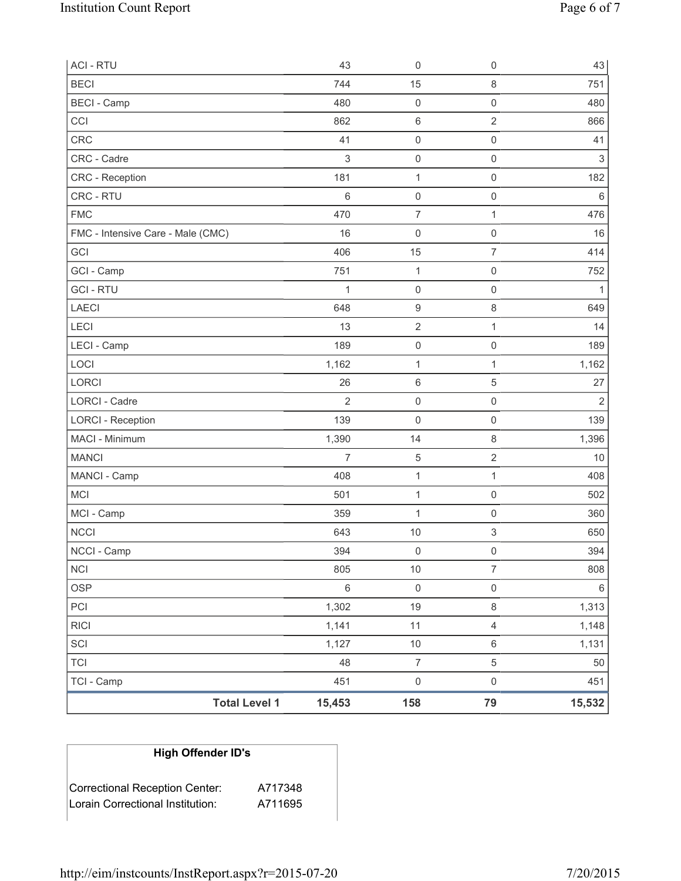| <b>ACI - RTU</b>                  |                      | 43                        | $\mathsf{O}\xspace$ | $\mathsf 0$               | 43             |
|-----------------------------------|----------------------|---------------------------|---------------------|---------------------------|----------------|
| <b>BECI</b>                       |                      | 744                       | 15                  | $\,8\,$                   | 751            |
| <b>BECI</b> - Camp                |                      | 480                       | $\mathsf{O}\xspace$ | $\mathbf 0$               | 480            |
| CCI                               |                      | 862                       | $\,6\,$             | $\overline{2}$            | 866            |
| <b>CRC</b>                        |                      | 41                        | $\mathsf{O}\xspace$ | $\mathsf 0$               | 41             |
| CRC - Cadre                       |                      | $\ensuremath{\mathsf{3}}$ | $\mathsf{O}\xspace$ | $\mathsf 0$               | $\mathsf 3$    |
| <b>CRC</b> - Reception            |                      | 181                       | $\mathbf{1}$        | $\mathsf 0$               | 182            |
| CRC - RTU                         |                      | 6                         | $\mathsf{O}\xspace$ | $\mathsf 0$               | $\,6$          |
| <b>FMC</b>                        |                      | 470                       | $\overline{7}$      | 1                         | 476            |
| FMC - Intensive Care - Male (CMC) |                      | 16                        | $\mathsf{O}\xspace$ | $\mathsf 0$               | 16             |
| GCI                               |                      | 406                       | 15                  | $\overline{7}$            | 414            |
| GCI - Camp                        |                      | 751                       | 1                   | $\mathsf{O}\xspace$       | 752            |
| <b>GCI - RTU</b>                  |                      | 1                         | $\mathsf{O}\xspace$ | $\mathsf 0$               | 1              |
| <b>LAECI</b>                      |                      | 648                       | $\boldsymbol{9}$    | $\,8\,$                   | 649            |
| LECI                              |                      | 13                        | $\sqrt{2}$          | 1                         | 14             |
| LECI - Camp                       |                      | 189                       | $\mathsf{O}\xspace$ | $\mathsf{O}\xspace$       | 189            |
| LOCI                              |                      | 1,162                     | $\mathbf{1}$        | 1                         | 1,162          |
| LORCI                             |                      | 26                        | $\,6\,$             | $\sqrt{5}$                | 27             |
| <b>LORCI - Cadre</b>              |                      | $\overline{2}$            | $\mathsf{O}\xspace$ | $\mathsf 0$               | $\overline{2}$ |
| <b>LORCI - Reception</b>          |                      | 139                       | $\mathbf 0$         | $\mathsf 0$               | 139            |
| MACI - Minimum                    |                      | 1,390                     | 14                  | $\,8\,$                   | 1,396          |
| <b>MANCI</b>                      |                      | $\overline{7}$            | 5                   | $\sqrt{2}$                | 10             |
| MANCI - Camp                      |                      | 408                       | 1                   | 1                         | 408            |
| MCI                               |                      | 501                       | $\mathbf 1$         | $\mathsf{O}\xspace$       | 502            |
| MCI - Camp                        |                      | 359                       | 1                   | $\mathbf 0$               | 360            |
| <b>NCCI</b>                       |                      | 643                       | 10                  | $\ensuremath{\mathsf{3}}$ | 650            |
| NCCI - Camp                       |                      | 394                       | $\mathbf 0$         | $\mathsf 0$               | 394            |
| <b>NCI</b>                        |                      | 805                       | $10$                | $\boldsymbol{7}$          | 808            |
| <b>OSP</b>                        |                      | $\,6\,$                   | $\mathbf 0$         | $\mathsf{O}\xspace$       | $\,6\,$        |
| PCI                               |                      | 1,302                     | 19                  | $\,8\,$                   | 1,313          |
| <b>RICI</b>                       |                      | 1,141                     | 11                  | $\overline{4}$            | 1,148          |
| SCI                               |                      | 1,127                     | 10                  | $\,6\,$                   | 1,131          |
| <b>TCI</b>                        |                      | 48                        | $\overline{7}$      | $\,$ 5 $\,$               | 50             |
| TCI - Camp                        |                      | 451                       | $\boldsymbol{0}$    | $\mathsf{O}\xspace$       | 451            |
|                                   | <b>Total Level 1</b> | 15,453                    | 158                 | 79                        | 15,532         |

# **High Offender ID's**

| Correctional Reception Center:   | A717348 |
|----------------------------------|---------|
| Lorain Correctional Institution: | A711695 |